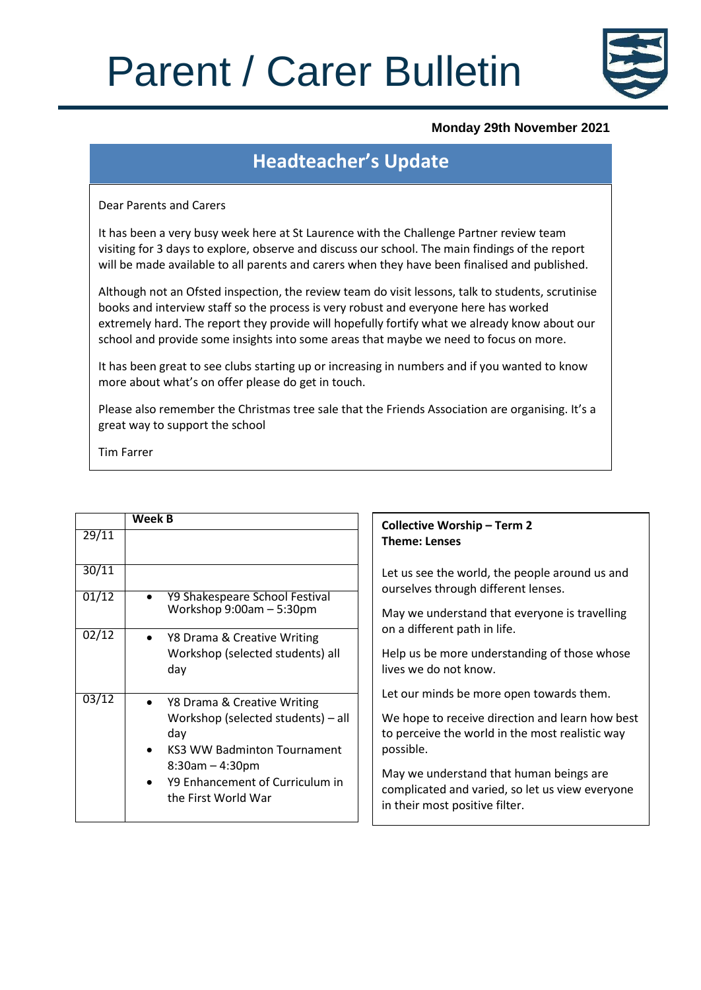# Parent / Carer Bulletin



#### **Monday 29th November 2021**

### **Headteacher's Update**

Dear Parents and Carers

It has been a very busy week here at St Laurence with the Challenge Partner review team visiting for 3 days to explore, observe and discuss our school. The main findings of the report will be made available to all parents and carers when they have been finalised and published.

Although not an Ofsted inspection, the review team do visit lessons, talk to students, scrutinise books and interview staff so the process is very robust and everyone here has worked extremely hard. The report they provide will hopefully fortify what we already know about our school and provide some insights into some areas that maybe we need to focus on more.

It has been great to see clubs starting up or increasing in numbers and if you wanted to know more about what's on offer please do get in touch.

Please also remember the Christmas tree sale that the Friends Association are organising. It's a great way to support the school

Tim Farrer

|       | <b>Week B</b>                                                                                                                            | <b>Collective Worship - Term 2</b>                                                                                                                          |
|-------|------------------------------------------------------------------------------------------------------------------------------------------|-------------------------------------------------------------------------------------------------------------------------------------------------------------|
| 29/11 |                                                                                                                                          | <b>Theme: Lenses</b>                                                                                                                                        |
| 30/11 |                                                                                                                                          | Let us see the world, the people around us and<br>ourselves through different lenses.                                                                       |
| 01/12 | Y9 Shakespeare School Festival<br>$\bullet$<br>Workshop $9:00am - 5:30pm$                                                                | May we understand that everyone is travelling                                                                                                               |
| 02/12 | Y8 Drama & Creative Writing<br>$\bullet$<br>Workshop (selected students) all<br>day                                                      | on a different path in life.<br>Help us be more understanding of those whose<br>lives we do not know.                                                       |
| 03/12 | Y8 Drama & Creative Writing<br>$\bullet$<br>Workshop (selected students) - all<br>day<br><b>KS3 WW Badminton Tournament</b><br>$\bullet$ | Let our minds be more open towards them.<br>We hope to receive direction and learn how best<br>to perceive the world in the most realistic way<br>possible. |
|       | $8:30$ am $-4:30$ pm<br>Y9 Enhancement of Curriculum in<br>$\bullet$<br>the First World War                                              | May we understand that human beings are<br>complicated and varied, so let us view everyone<br>in their most positive filter.                                |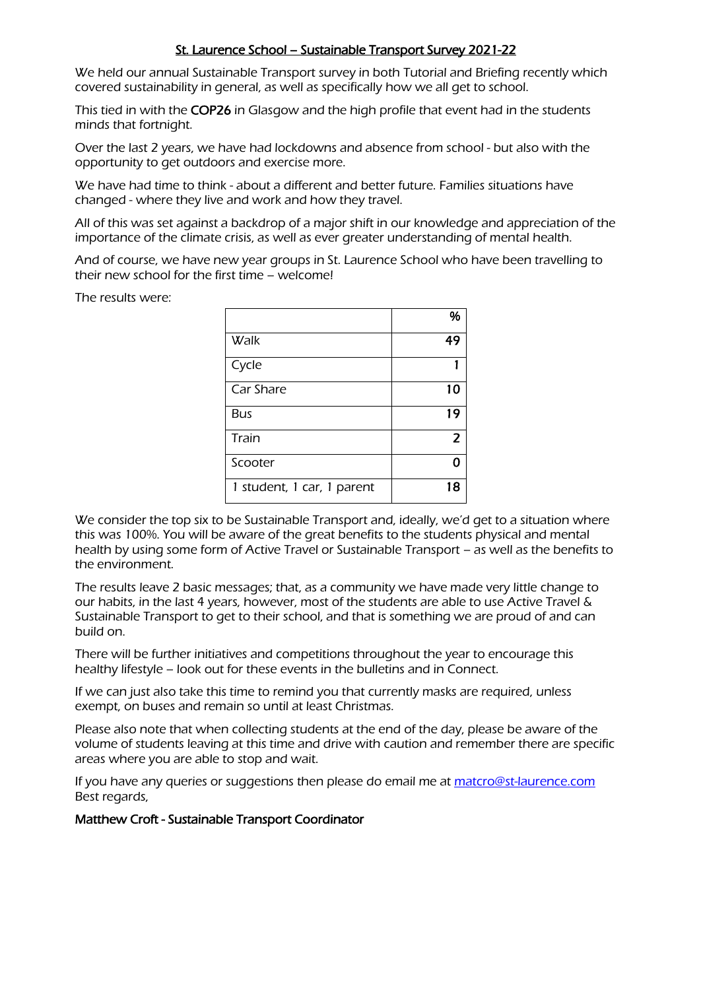#### St. Laurence School – Sustainable Transport Survey 2021-22

We held our annual Sustainable Transport survey in both Tutorial and Briefing recently which covered sustainability in general, as well as specifically how we all get to school.

This tied in with the COP26 in Glasgow and the high profile that event had in the students minds that fortnight.

Over the last 2 years, we have had lockdowns and absence from school - but also with the opportunity to get outdoors and exercise more.

We have had time to think - about a different and better future. Families situations have changed - where they live and work and how they travel.

All of this was set against a backdrop of a major shift in our knowledge and appreciation of the importance of the climate crisis, as well as ever greater understanding of mental health.

And of course, we have new year groups in St. Laurence School who have been travelling to their new school for the first time – welcome!

The results were:

|                            | %              |
|----------------------------|----------------|
| Walk                       | 49             |
| Cycle                      |                |
| Car Share                  | 10             |
| Bus                        | 19             |
| Train                      | $\overline{2}$ |
| Scooter                    | ∩              |
| 1 student, 1 car, 1 parent | 18             |

We consider the top six to be Sustainable Transport and, ideally, we'd get to a situation where this was 100%. You will be aware of the great benefits to the students physical and mental health by using some form of Active Travel or Sustainable Transport – as well as the benefits to the environment.

The results leave 2 basic messages; that, as a community we have made very little change to our habits, in the last 4 years, however, most of the students are able to use Active Travel & Sustainable Transport to get to their school, and that is something we are proud of and can build on.

There will be further initiatives and competitions throughout the year to encourage this healthy lifestyle – look out for these events in the bulletins and in Connect.

If we can just also take this time to remind you that currently masks are required, unless exempt, on buses and remain so until at least Christmas.

Please also note that when collecting students at the end of the day, please be aware of the volume of students leaving at this time and drive with caution and remember there are specific areas where you are able to stop and wait.

If you have any queries or suggestions then please do email me at [matcro@st-laurence.com](mailto:matcro@st-laurence.com) Best regards,

#### Matthew Croft - Sustainable Transport Coordinator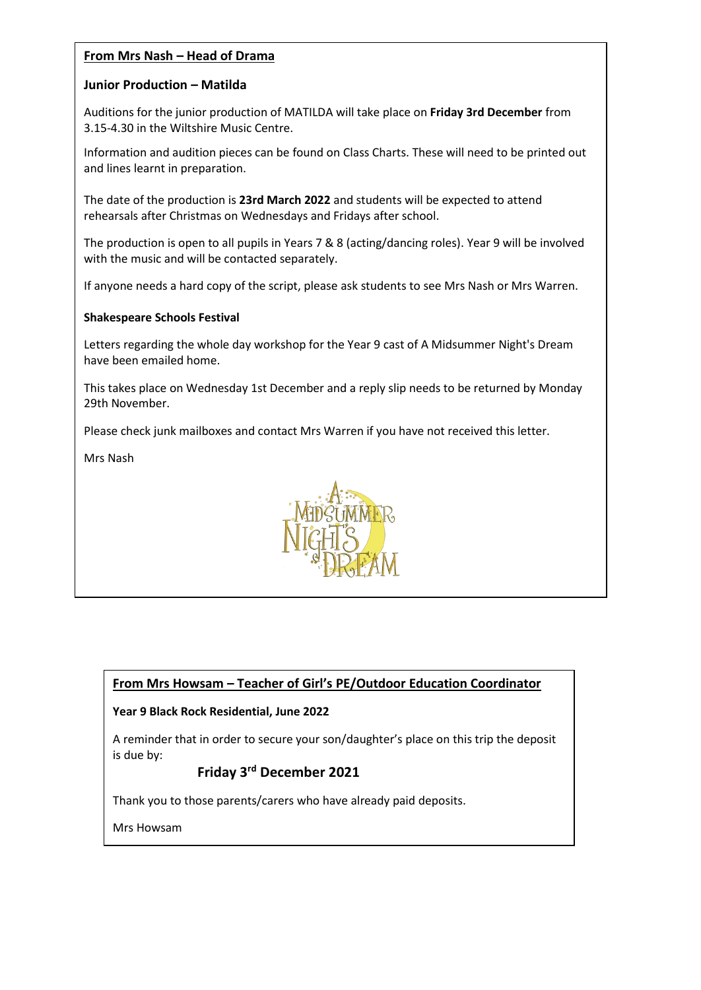#### **From Mrs Nash – Head of Drama**

#### **Junior Production – Matilda**

Auditions for the junior production of MATILDA will take place on **Friday 3rd December** from 3.15-4.30 in the Wiltshire Music Centre.

Information and audition pieces can be found on Class Charts. These will need to be printed out and lines learnt in preparation.

The date of the production is **23rd March 2022** and students will be expected to attend rehearsals after Christmas on Wednesdays and Fridays after school.

The production is open to all pupils in Years 7 & 8 (acting/dancing roles). Year 9 will be involved with the music and will be contacted separately.

If anyone needs a hard copy of the script, please ask students to see Mrs Nash or Mrs Warren.

#### **Shakespeare Schools Festival**

Letters regarding the whole day workshop for the Year 9 cast of A Midsummer Night's Dream have been emailed home.

This takes place on Wednesday 1st December and a reply slip needs to be returned by Monday 29th November.

Please check junk mailboxes and contact Mrs Warren if you have not received this letter.

Mrs Nash



#### **From Mrs Howsam – Teacher of Girl's PE/Outdoor Education Coordinator**

#### **Year 9 Black Rock Residential, June 2022**

A reminder that in order to secure your son/daughter's place on this trip the deposit is due by:

#### **Friday 3rd December 2021**

Thank you to those parents/carers who have already paid deposits.

Mrs Howsam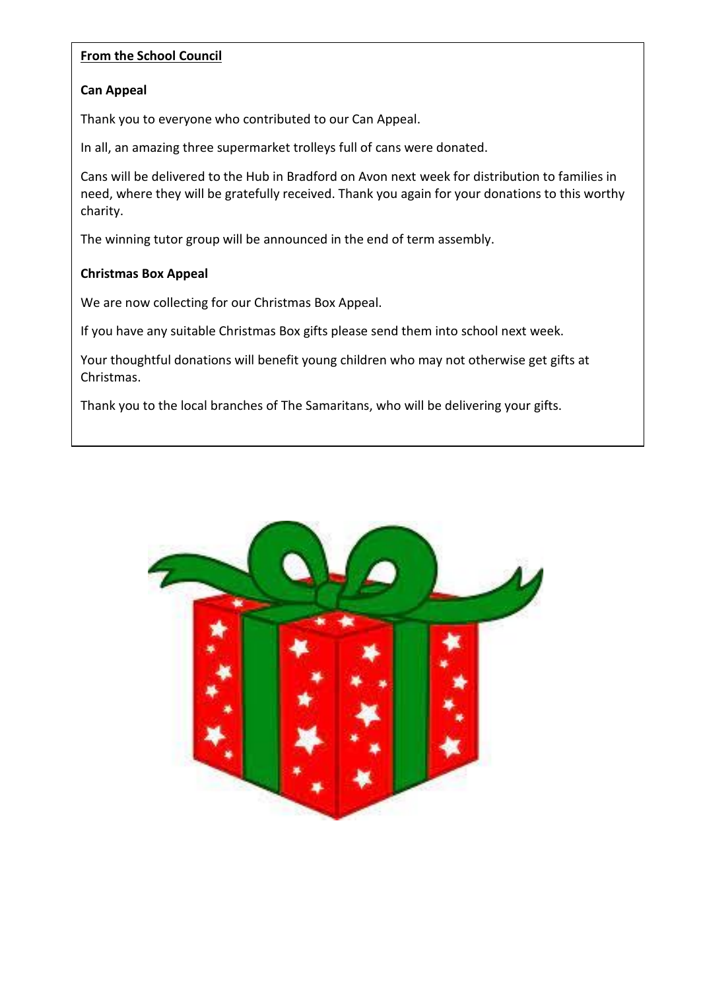#### **From the School Council**

#### **Can Appeal**

Thank you to everyone who contributed to our Can Appeal.

In all, an amazing three supermarket trolleys full of cans were donated.

Cans will be delivered to the Hub in Bradford on Avon next week for distribution to families in need, where they will be gratefully received. Thank you again for your donations to this worthy charity.

The winning tutor group will be announced in the end of term assembly.

#### **Christmas Box Appeal**

We are now collecting for our Christmas Box Appeal.

If you have any suitable Christmas Box gifts please send them into school next week.

Your thoughtful donations will benefit young children who may not otherwise get gifts at Christmas.

Thank you to the local branches of The Samaritans, who will be delivering your gifts.

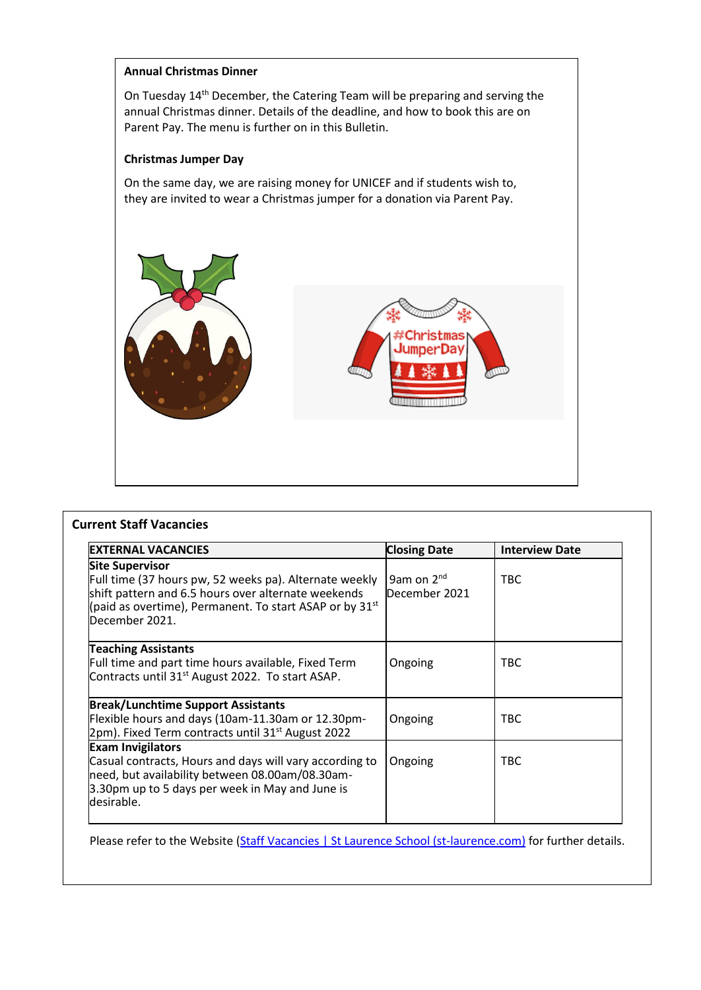#### **Annual Christmas Dinner**

On Tuesday 14th December, the Catering Team will be preparing and serving the annual Christmas dinner. Details of the deadline, and how to book this are on Parent Pay. The menu is further on in this Bulletin.

#### **Christmas Jumper Day**

On the same day, we are raising money for UNICEF and if students wish to, they are invited to wear a Christmas jumper for a donation via Parent Pay.



| <b>IEXTERNAL VACANCIES</b>                                                                                                                                                                                                     | <b>Closing Date</b>                     | <b>Interview Date</b> |
|--------------------------------------------------------------------------------------------------------------------------------------------------------------------------------------------------------------------------------|-----------------------------------------|-----------------------|
| <b>Site Supervisor</b><br>Full time (37 hours pw, 52 weeks pa). Alternate weekly<br>shift pattern and 6.5 hours over alternate weekends<br>(paid as overtime), Permanent. To start ASAP or by 31 $^{\rm st}$<br>December 2021. | 9am on 2 <sup>nd</sup><br>December 2021 | TBC.                  |
| <b>Teaching Assistants</b><br>Full time and part time hours available, Fixed Term<br>Contracts until 31 <sup>st</sup> August 2022. To start ASAP.                                                                              | Ongoing                                 | <b>TBC</b>            |
| <b>Break/Lunchtime Support Assistants</b><br>Flexible hours and days (10am-11.30am or 12.30pm-<br>2pm). Fixed Term contracts until 31 <sup>st</sup> August 2022                                                                | Ongoing                                 | <b>TBC</b>            |
| <b>Exam Invigilators</b><br>Casual contracts, Hours and days will vary according to<br>need, but availability between 08.00am/08.30am-<br>3.30pm up to 5 days per week in May and June is<br>desirable.                        | Ongoing                                 | <b>TBC</b>            |

Please refer to the Website [\(Staff Vacancies | St Laurence School \(st-laurence.com\)](https://st-laurence.com/staff-vacancies) for further details.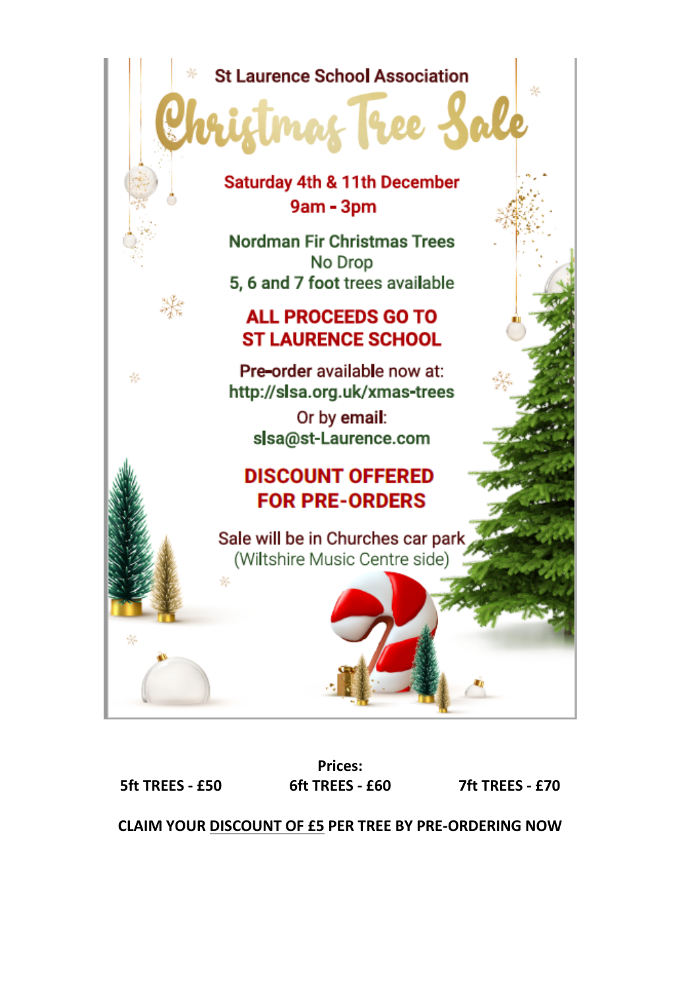# **St Laurence School Association**

## Saturday 4th & 11th December 9am - 3pm

**Nordman Fir Christmas Trees** No Drop 5, 6 and 7 foot trees available

## **ALL PROCEEDS GO TO ST LAURENCE SCHOOL**

Pre-order available now at: http://slsa.org.uk/xmas-trees

> Or by email: slsa@st-Laurence.com

## **DISCOUNT OFFERED FOR PRE-ORDERS**

Sale will be in Churches car park (Wiltshire Music Centre side)

**5ft TREES - £50 6ft TREES - £60 7ft TREES - £70**

86

咨

杂

**Prices:**

ðé.

**CLAIM YOUR DISCOUNT OF £5 PER TREE BY PRE-ORDERING NOW**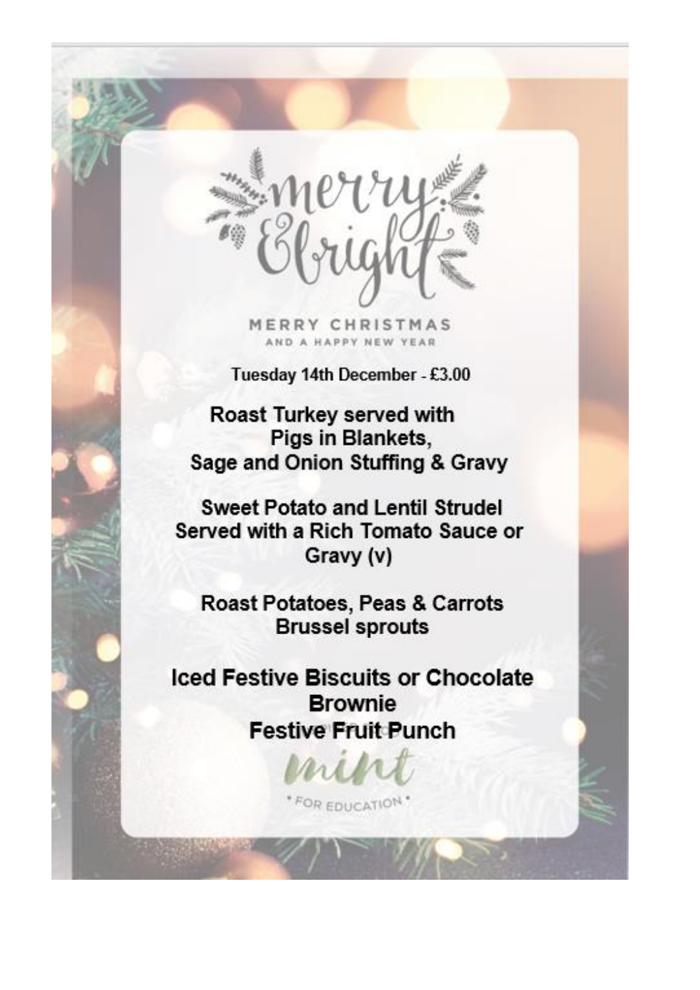

MERRY CHRISTMAS AND A HAPPY NEW YEAR

Tuesday 14th December - £3.00

Roast Turkey served with Pigs in Blankets, Sage and Onion Stuffing & Gravy

**Sweet Potato and Lentil Strudel** Served with a Rich Tomato Sauce or Gravy (v)

Roast Potatoes, Peas & Carrots **Brussel sprouts** 

**Iced Festive Biscuits or Chocolate Brownie Festive Fruit Punch** 

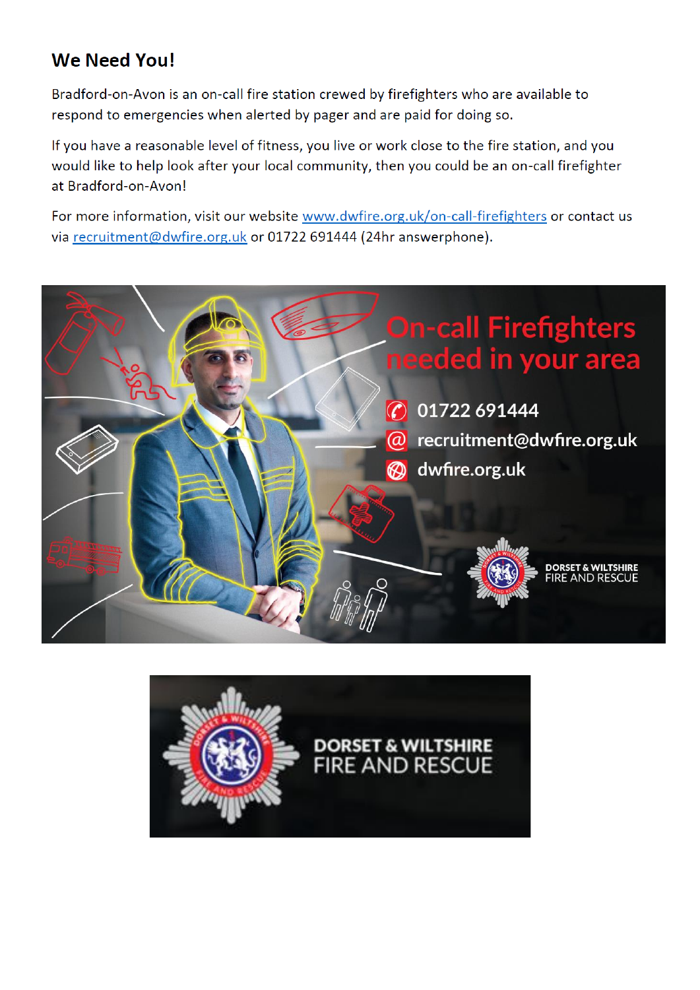# **We Need You!**

Bradford-on-Avon is an on-call fire station crewed by firefighters who are available to respond to emergencies when alerted by pager and are paid for doing so.

If you have a reasonable level of fitness, you live or work close to the fire station, and you would like to help look after your local community, then you could be an on-call firefighter at Bradford-on-Avon!

For more information, visit our website www.dwfire.org.uk/on-call-firefighters or contact us via recruitment@dwfire.org.uk or 01722 691444 (24hr answerphone).



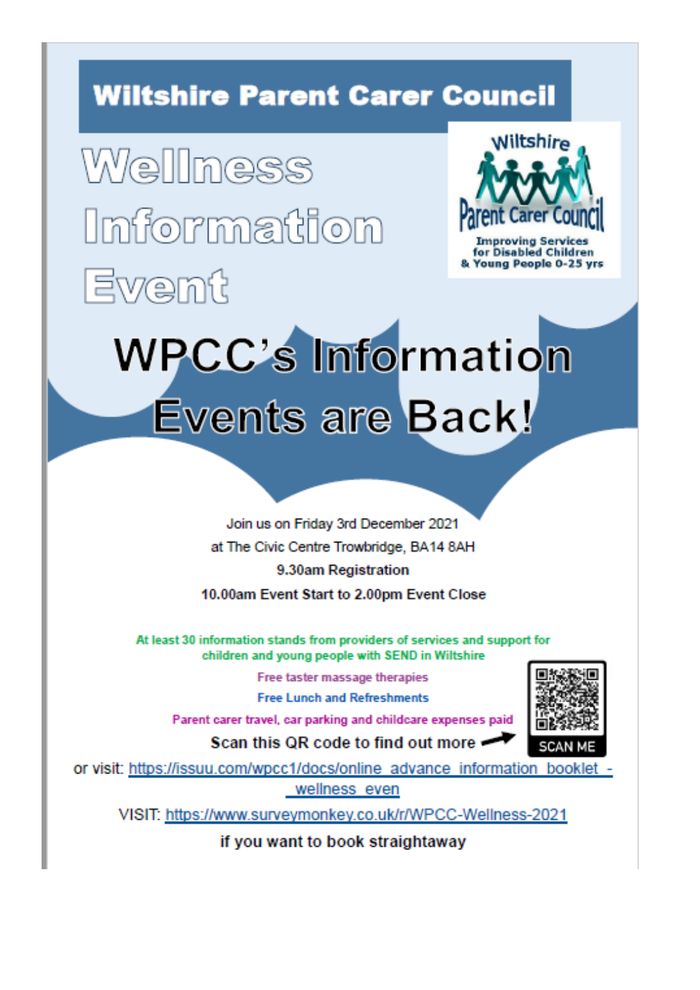# **Wiltshire Parent Carer Council**

Wellness lmformation Ewemit



**Improving Services** for Disabled Children oung People 0-25 yrs

# **WPCC's Information** Events are Back!

Join us on Friday 3rd December 2021 at The Civic Centre Trowbridge, BA14 8AH 9.30am Registration 10.00am Event Start to 2.00pm Event Close

At least 30 information stands from providers of services and support for children and young people with SEND in Wiltshire

Free taster massage therapies

**Free Lunch and Refreshments** 

Parent carer travel, car parking and childcare expenses paid

Scan this QR code to find out more



or visit: https://issuu.com/wpcc1/docs/online\_advance\_information\_booklet wellness even

VISIT: https://www.surveymonkey.co.uk/r/WPCC-Wellness-2021

if you want to book straightaway